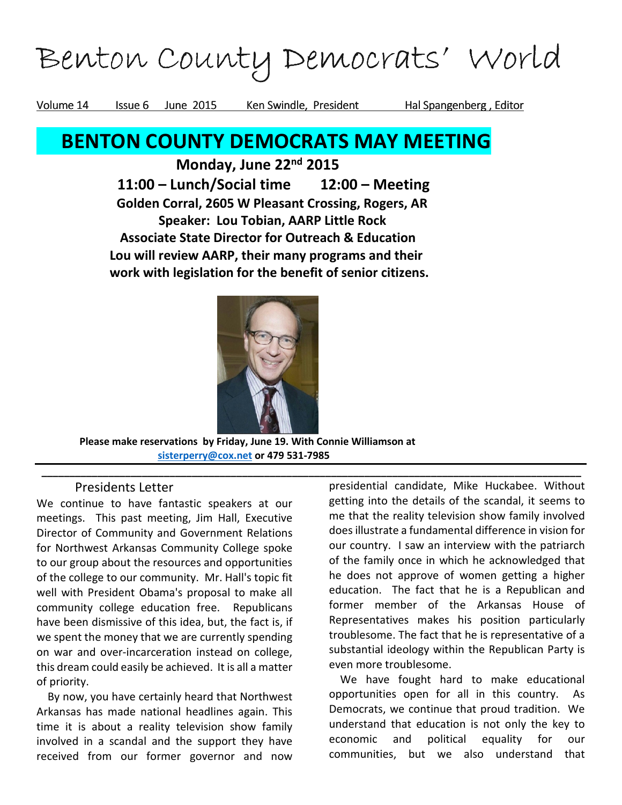# Benton County Democrats' World

Volume 14 Issue 6 June 2015 Ken Swindle, President Hal Spangenberg, Editor

# BENTON COUNTY DEMOCRATS MAY MEETING

Monday, June 22<sup>nd</sup> 2015 11:00 – Lunch/Social time 12:00 – Meeting Golden Corral, 2605 W Pleasant Crossing, Rogers, AR Speaker: Lou Tobian, AARP Little Rock Associate State Director for Outreach & Education Lou will review AARP, their many programs and their work with legislation for the benefit of senior citizens.



\_\_\_\_\_\_\_\_\_\_\_\_\_\_\_\_\_\_\_\_\_\_\_\_\_\_\_\_\_\_\_\_\_\_\_\_\_\_\_\_\_\_\_\_\_\_\_\_\_\_\_\_\_\_\_\_\_\_\_\_\_\_\_\_\_\_\_\_\_\_\_\_\_\_\_\_\_\_\_\_\_\_\_\_\_\_\_\_\_\_\_\_\_\_\_\_\_

 Please make reservations by Friday, June 19. With Connie Williamson at sisterperry@cox.net or 479 531-7985

### Presidents Letter

We continue to have fantastic speakers at our meetings. This past meeting, Jim Hall, Executive Director of Community and Government Relations for Northwest Arkansas Community College spoke to our group about the resources and opportunities of the college to our community. Mr. Hall's topic fit well with President Obama's proposal to make all community college education free. Republicans have been dismissive of this idea, but, the fact is, if we spent the money that we are currently spending on war and over-incarceration instead on college, this dream could easily be achieved. It is all a matter of priority.

 By now, you have certainly heard that Northwest Arkansas has made national headlines again. This time it is about a reality television show family involved in a scandal and the support they have received from our former governor and now

presidential candidate, Mike Huckabee. Without getting into the details of the scandal, it seems to me that the reality television show family involved does illustrate a fundamental difference in vision for our country. I saw an interview with the patriarch of the family once in which he acknowledged that he does not approve of women getting a higher education. The fact that he is a Republican and former member of the Arkansas House of Representatives makes his position particularly troublesome. The fact that he is representative of a substantial ideology within the Republican Party is even more troublesome.

 We have fought hard to make educational opportunities open for all in this country. As Democrats, we continue that proud tradition. We understand that education is not only the key to economic and political equality for our communities, but we also understand that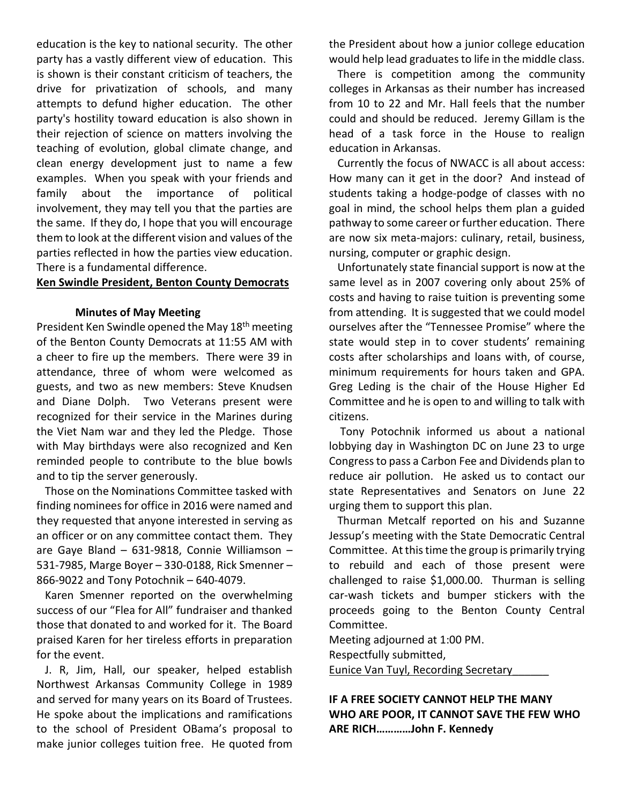education is the key to national security. The other party has a vastly different view of education. This is shown is their constant criticism of teachers, the drive for privatization of schools, and many attempts to defund higher education. The other party's hostility toward education is also shown in their rejection of science on matters involving the teaching of evolution, global climate change, and clean energy development just to name a few examples. When you speak with your friends and family about the importance of political involvement, they may tell you that the parties are the same. If they do, I hope that you will encourage them to look at the different vision and values of the parties reflected in how the parties view education. There is a fundamental difference.

#### Ken Swindle President, Benton County Democrats

#### Minutes of May Meeting

President Ken Swindle opened the May 18<sup>th</sup> meeting of the Benton County Democrats at 11:55 AM with a cheer to fire up the members. There were 39 in attendance, three of whom were welcomed as guests, and two as new members: Steve Knudsen and Diane Dolph. Two Veterans present were recognized for their service in the Marines during the Viet Nam war and they led the Pledge. Those with May birthdays were also recognized and Ken reminded people to contribute to the blue bowls and to tip the server generously.

 Those on the Nominations Committee tasked with finding nominees for office in 2016 were named and they requested that anyone interested in serving as an officer or on any committee contact them. They are Gaye Bland – 631-9818, Connie Williamson – 531-7985, Marge Boyer – 330-0188, Rick Smenner – 866-9022 and Tony Potochnik – 640-4079.

 Karen Smenner reported on the overwhelming success of our "Flea for All" fundraiser and thanked those that donated to and worked for it. The Board praised Karen for her tireless efforts in preparation for the event.

 J. R, Jim, Hall, our speaker, helped establish Northwest Arkansas Community College in 1989 and served for many years on its Board of Trustees. He spoke about the implications and ramifications to the school of President OBama's proposal to make junior colleges tuition free. He quoted from the President about how a junior college education would help lead graduates to life in the middle class.

 There is competition among the community colleges in Arkansas as their number has increased from 10 to 22 and Mr. Hall feels that the number could and should be reduced. Jeremy Gillam is the head of a task force in the House to realign education in Arkansas.

 Currently the focus of NWACC is all about access: How many can it get in the door? And instead of students taking a hodge-podge of classes with no goal in mind, the school helps them plan a guided pathway to some career or further education. There are now six meta-majors: culinary, retail, business, nursing, computer or graphic design.

 Unfortunately state financial support is now at the same level as in 2007 covering only about 25% of costs and having to raise tuition is preventing some from attending. It is suggested that we could model ourselves after the "Tennessee Promise" where the state would step in to cover students' remaining costs after scholarships and loans with, of course, minimum requirements for hours taken and GPA. Greg Leding is the chair of the House Higher Ed Committee and he is open to and willing to talk with citizens.

 Tony Potochnik informed us about a national lobbying day in Washington DC on June 23 to urge Congress to pass a Carbon Fee and Dividends plan to reduce air pollution. He asked us to contact our state Representatives and Senators on June 22 urging them to support this plan.

 Thurman Metcalf reported on his and Suzanne Jessup's meeting with the State Democratic Central Committee. At this time the group is primarily trying to rebuild and each of those present were challenged to raise \$1,000.00. Thurman is selling car-wash tickets and bumper stickers with the proceeds going to the Benton County Central Committee.

Meeting adjourned at 1:00 PM.

Respectfully submitted,

Eunice Van Tuyl, Recording Secretary\_\_\_\_\_\_

IF A FREE SOCIETY CANNOT HELP THE MANY WHO ARE POOR, IT CANNOT SAVE THE FEW WHO ARE RICH…………John F. Kennedy